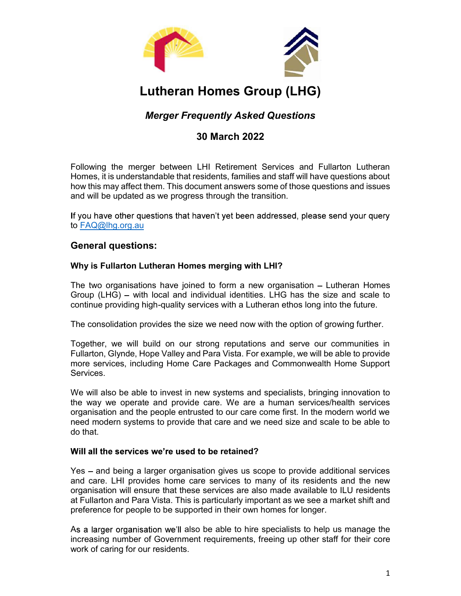

# Lutheran Homes Group (LHG)

Following the merger between LHI Retirement Services and Fullarton Lutheran Homes, it is understandable that residents, families and staff will have questions about how this may affect them. This document answers some of those questions and issues **Lutheran Homes Group (LHG)**<br> *Merger Frequently Asked Questions*<br>
30 March 2022<br>
Following the merger between LHI Retirement Services and Fullation Lutheran<br>
Homes, it is understandable that residents, families and staff **Merger Frequently Asked Questions**<br> **SO March 2022**<br> **Following the merger between LHI Retirement Services and Fullatton Lutheran**<br> **Homes, it is understandable that residents, families and staff will have questions abou 30 March 2022**<br>Following the merger between LHI Retirement Services and Fullarton Lutheran<br>Homes, it is understandable that residents, families and staff will have questions about<br>how this may affect them. This document a

to FAQ@lhg.org.au

# General questions:

## Why is Fullarton Lutheran Homes merging with LHI?

continue providing high-quality services with a Lutheran ethos long into the future.

Together, we will build on our strong reputations and serve our communities in Following the merger between LHI Retirement Services and Fullarton Lutheran<br>Homes, it is understandable that residents, families and staff will have questions about<br>how this may affect them. This document answers some of t Following ulte interger lotewear Lim Returement Levivoles and chain charactor and with the way we approximate info<br>Homes, it is understandable that residents, families and staff will have questions about<br>thow this may aff Services.

all will be updated as we progress unough the transition.<br>If you have other questions that haven't yet been addressed, please send your query<br> **General questions:**<br>
Why is Fullarton Lutheran Homes merging with LHI?<br>
The tw If you have other questions that haven't yet been addressed, please send your query<br>
to <u>FAQ@lhq.orq.au</u><br> **General questions:**<br> **Why is Fullarton Lutheran Homes merging with LHI?**<br>
The two organisations have joined to form If you have outer questions that haven't yet been addressed, please serior your query<br> **Ceneral questions:**<br> **Correct diverse to the people of form a new organisation – Lutheran Homes**<br>
The two organisations have joined to need modern systems to provide that care and we need size and scale to be able to do that.

### Will all the services we're used to be retained?

Yes - and being a larger organisation gives us scope to provide additional services and care. LHI provides home care services to many of its residents and the new organisation will ensure that these services are also made available to ILU residents continue providing high-quality services with a Lutineran ethos long into the tuture.<br>The consolidation provides the size we need now with the option of growing further.<br>Together, we will build on our strong reputations an preference for people to be supported in their own homes for longer.

As a larger organisation we'll also be able to hire specialists to help us manage the increasing number of Government requirements, freeing up other staff for their core work of caring for our residents.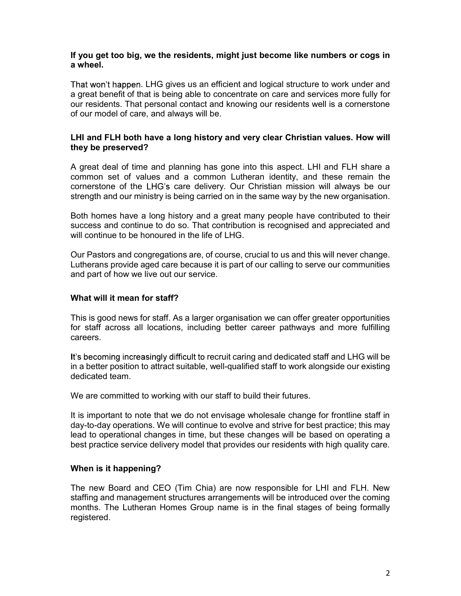#### If you get too big, we the residents, might just become like numbers or cogs in a wheel.

That won't happen. LHG gives us an efficient and logical structure to work under and a great benefit of that is being able to concentrate on care and services more fully for our residents. That personal contact and knowing our residents well is a cornerstone of our model of care, and always will be.

### LHI and FLH both have a long history and very clear Christian values. How will they be preserved?

A great deal of time and planning has gone into this aspect. LHI and FLH share a common set of values and a common Lutheran identity, and these remain the cornerstone of the LHG's care delivery. Our Christian mission will always be our strength and our ministry is being carried on in the same way by the new organisation.

Both homes have a long history and a great many people have contributed to their success and continue to do so. That contribution is recognised and appreciated and will continue to be honoured in the life of LHG.

Our Pastors and congregations are, of course, crucial to us and this will never change. Lutherans provide aged care because it is part of our calling to serve our communities and part of how we live out our service.

### What will it mean for staff?

This is good news for staff. As a larger organisation we can offer greater opportunities for staff across all locations, including better career pathways and more fulfilling careers.

It's becoming increasingly difficult to recruit caring and dedicated staff and LHG will be in a better position to attract suitable, well-qualified staff to work alongside our existing dedicated team.

We are committed to working with our staff to build their futures.

It is important to note that we do not envisage wholesale change for frontline staff in day-to-day operations. We will continue to evolve and strive for best practice; this may lead to operational changes in time, but these changes will be based on operating a best practice service delivery model that provides our residents with high quality care.

### When is it happening?

The new Board and CEO (Tim Chia) are now responsible for LHI and FLH. New staffing and management structures arrangements will be introduced over the coming months. The Lutheran Homes Group name is in the final stages of being formally registered.